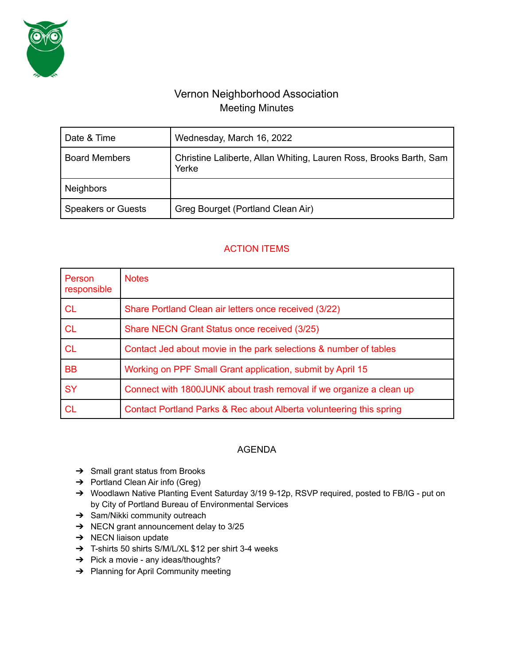

# Vernon Neighborhood Association Meeting Minutes

| Date & Time               | Wednesday, March 16, 2022                                                   |
|---------------------------|-----------------------------------------------------------------------------|
| <b>Board Members</b>      | Christine Laliberte, Allan Whiting, Lauren Ross, Brooks Barth, Sam<br>Yerke |
| <b>Neighbors</b>          |                                                                             |
| <b>Speakers or Guests</b> | Greg Bourget (Portland Clean Air)                                           |

## ACTION ITEMS

| Person<br>responsible | <b>Notes</b>                                                        |
|-----------------------|---------------------------------------------------------------------|
| <b>CL</b>             | Share Portland Clean air letters once received (3/22)               |
| <b>CL</b>             | Share NECN Grant Status once received (3/25)                        |
| <b>CL</b>             | Contact Jed about movie in the park selections & number of tables   |
| <b>BB</b>             | Working on PPF Small Grant application, submit by April 15          |
| <b>SY</b>             | Connect with 1800JUNK about trash removal if we organize a clean up |
| <b>CL</b>             | Contact Portland Parks & Rec about Alberta volunteering this spring |

### AGENDA

- ➔ Small grant status from Brooks
- ➔ Portland Clean Air info (Greg)
- → Woodlawn Native Planting Event Saturday 3/19 9-12p, RSVP required, posted to FB/IG put on by City of Portland Bureau of Environmental Services
- → Sam/Nikki community outreach
- ➔ NECN grant announcement delay to 3/25
- $\rightarrow$  NECN liaison update
- ➔ T-shirts 50 shirts S/M/L/XL \$12 per shirt 3-4 weeks
- → Pick a movie any ideas/thoughts?
- → Planning for April Community meeting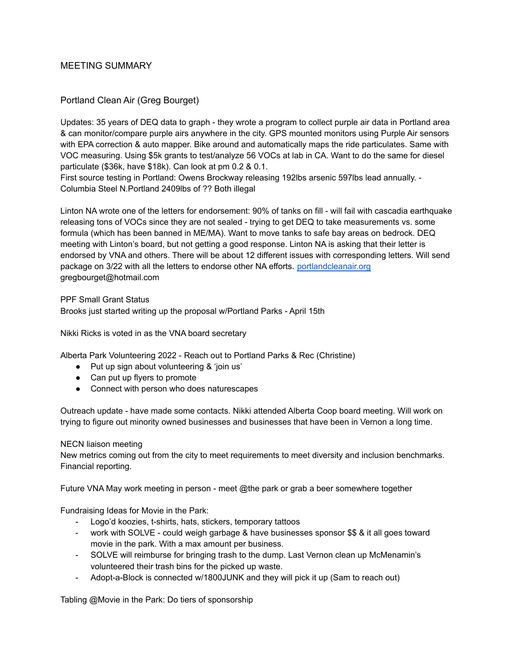#### MEETING SUMMARY

### Portland Clean Air (Greg Bourget)

Updates: 35 years of DEQ data to graph - they wrote a program to collect purple air data in Portland area & can monitor/compare purple airs anywhere in the city. GPS mounted monitors using Purple Air sensors with EPA correction & auto mapper. Bike around and automatically maps the ride particulates. Same with VOC measuring. Using \$5k grants to test/analyze 56 VOCs at lab in CA. Want to do the same for diesel particulate (\$36k, have \$18k). Can look at pm 0.2 & 0.1.

First source testing in Portland: Owens Brockway releasing 192lbs arsenic 597lbs lead annually. - Columbia Steel N.Portland 2409lbs of ?? Both illegal

Linton NA wrote one of the letters for endorsement: 90% of tanks on fill - will fail with cascadia earthquake releasing tons of VOCs since they are not sealed - trying to get DEQ to take measurements vs. some formula (which has been banned in ME/MA). Want to move tanks to safe bay areas on bedrock. DEQ meeting with Linton's board, but not getting a good response. Linton NA is asking that their letter is endorsed by VNA and others. There will be about 12 different issues with corresponding letters. Will send package on 3/22 with all the letters to endorse other NA efforts. [portlandcleanair.org](http://portlandcleanair.org) gregbourget@hotmail.com

PPF Small Grant Status Brooks just started writing up the proposal w/Portland Parks - April 15th

Nikki Ricks is voted in as the VNA board secretary

Alberta Park Volunteering 2022 - Reach out to Portland Parks & Rec (Christine)

- Put up sign about volunteering & 'join us'
- Can put up flyers to promote
- Connect with person who does naturescapes

Outreach update - have made some contacts. Nikki attended Alberta Coop board meeting. Will work on trying to figure out minority owned businesses and businesses that have been in Vernon a long time.

#### NECN liaison meeting

New metrics coming out from the city to meet requirements to meet diversity and inclusion benchmarks. Financial reporting.

Future VNA May work meeting in person - meet @the park or grab a beer somewhere together

Fundraising Ideas for Movie in the Park:

- Logo'd koozies, t-shirts, hats, stickers, temporary tattoos
- work with SOLVE could weigh garbage & have businesses sponsor \$\$ & it all goes toward movie in the park. With a max amount per business.
- SOLVE will reimburse for bringing trash to the dump. Last Vernon clean up McMenamin's volunteered their trash bins for the picked up waste.
- Adopt-a-Block is connected w/1800JUNK and they will pick it up (Sam to reach out)

Tabling @Movie in the Park: Do tiers of sponsorship